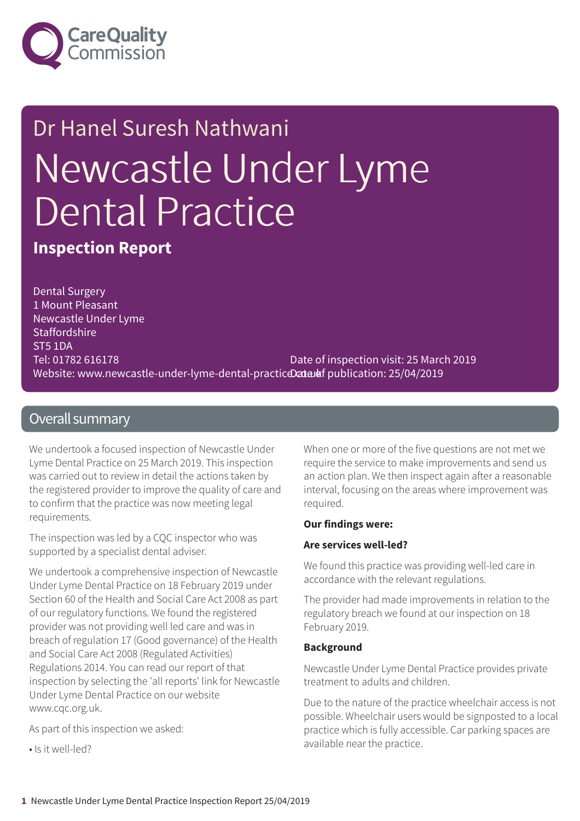

# Dr Hanel Suresh Nathwani Newcastle Under Lyme Dental Practice

**Inspection Report**

Dental Surgery 1 Mount Pleasant Newcastle Under Lyme **Staffordshire** ST5 1DA Tel: 01782 616178 Website: www.newcastle-under-lyme-dental-practic**Data***l***af** publication: 25/04/2019 Date of inspection visit: 25 March 2019

### Overall summary

We undertook a focused inspection of Newcastle Under Lyme Dental Practice on 25 March 2019. This inspection was carried out to review in detail the actions taken by the registered provider to improve the quality of care and to confirm that the practice was now meeting legal requirements.

The inspection was led by a CQC inspector who was supported by a specialist dental adviser.

We undertook a comprehensive inspection of Newcastle Under Lyme Dental Practice on 18 February 2019 under Section 60 of the Health and Social Care Act 2008 as part of our regulatory functions. We found the registered provider was not providing well led care and was in breach of regulation 17 (Good governance) of the Health and Social Care Act 2008 (Regulated Activities) Regulations 2014. You can read our report of that inspection by selecting the 'all reports' link for Newcastle Under Lyme Dental Practice on our website www.cqc.org.uk.

As part of this inspection we asked:

• Is it well-led?

When one or more of the five questions are not met we require the service to make improvements and send us an action plan. We then inspect again after a reasonable interval, focusing on the areas where improvement was required.

#### **Our findings were:**

#### **Are services well-led?**

We found this practice was providing well-led care in accordance with the relevant regulations.

The provider had made improvements in relation to the regulatory breach we found at our inspection on 18 February 2019.

#### **Background**

Newcastle Under Lyme Dental Practice provides private treatment to adults and children.

Due to the nature of the practice wheelchair access is not possible. Wheelchair users would be signposted to a local practice which is fully accessible. Car parking spaces are available near the practice.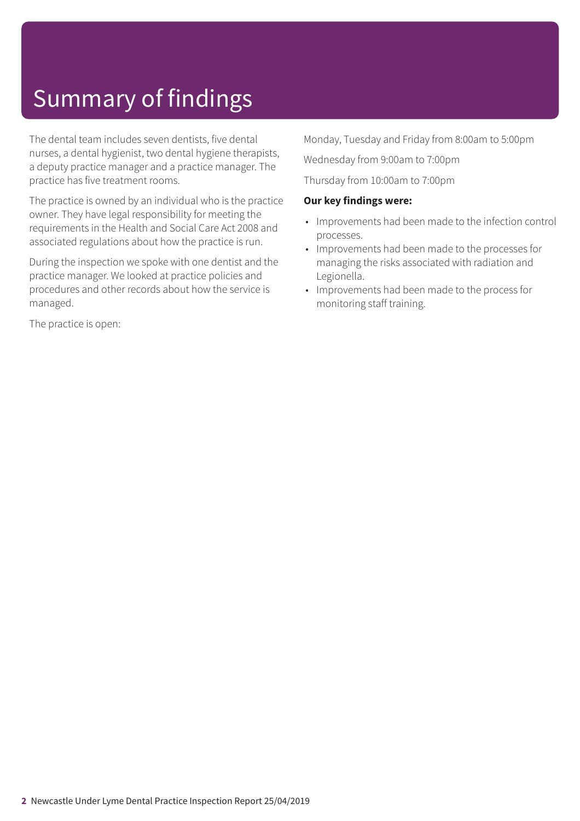# Summary of findings

The dental team includes seven dentists, five dental nurses, a dental hygienist, two dental hygiene therapists, a deputy practice manager and a practice manager. The practice has five treatment rooms.

The practice is owned by an individual who is the practice owner. They have legal responsibility for meeting the requirements in the Health and Social Care Act 2008 and associated regulations about how the practice is run.

During the inspection we spoke with one dentist and the practice manager. We looked at practice policies and procedures and other records about how the service is managed.

The practice is open:

Monday, Tuesday and Friday from 8:00am to 5:00pm

Wednesday from 9:00am to 7:00pm

Thursday from 10:00am to 7:00pm

#### **Our key findings were:**

- Improvements had been made to the infection control processes.
- Improvements had been made to the processes for managing the risks associated with radiation and Legionella.
- Improvements had been made to the process for monitoring staff training.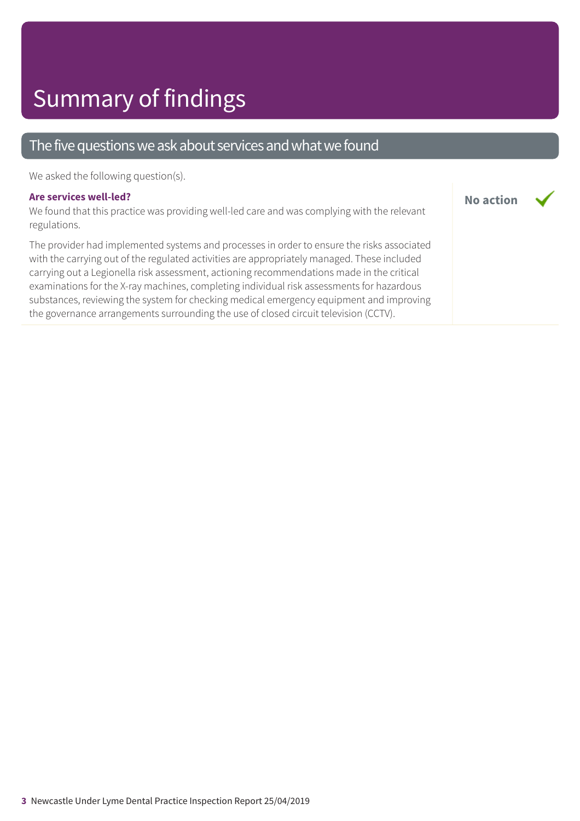## Summary of findings

### The five questions we ask about services and what we found

We asked the following question(s).

#### **Are services well-led?**

We found that this practice was providing well-led care and was complying with the relevant regulations.

**No action**

The provider had implemented systems and processes in order to ensure the risks associated with the carrying out of the regulated activities are appropriately managed. These included carrying out a Legionella risk assessment, actioning recommendations made in the critical examinations for the X-ray machines, completing individual risk assessments for hazardous substances, reviewing the system for checking medical emergency equipment and improving the governance arrangements surrounding the use of closed circuit television (CCTV).